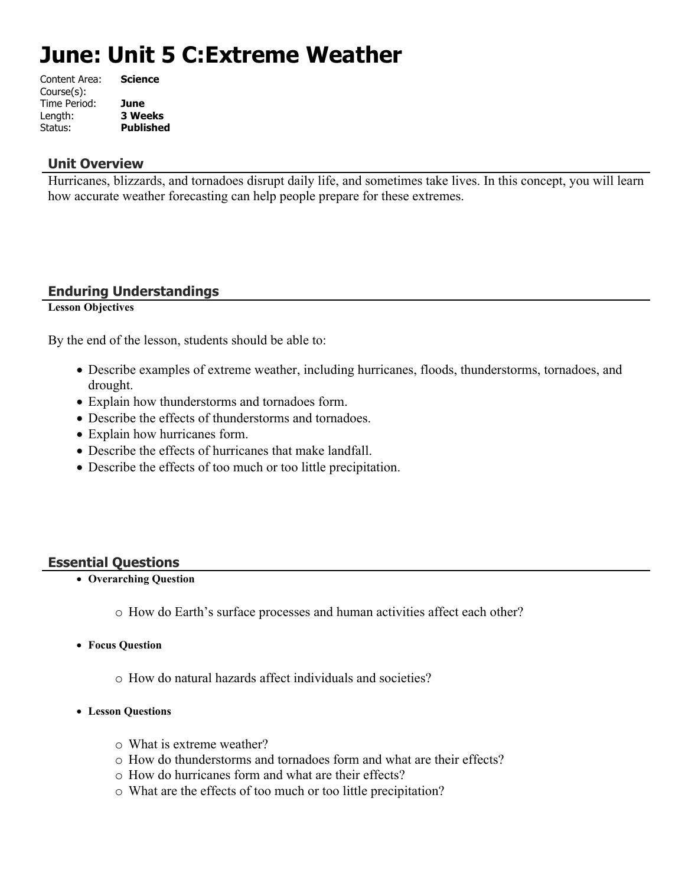# **June: Unit 5 C:Extreme Weather**

| Content Area: | <b>Science</b>   |
|---------------|------------------|
| Course(s):    |                  |
| Time Period:  | June             |
| Length:       | <b>3 Weeks</b>   |
| Status:       | <b>Published</b> |
|               |                  |

### **Unit Overview**

Hurricanes, blizzards, and tornadoes disrupt daily life, and sometimes take lives. In this concept, you will learn how accurate weather forecasting can help people prepare for these extremes.

# **Enduring Understandings**

**Lesson Objectives**

By the end of the lesson, students should be able to:

- Describe examples of extreme weather, including hurricanes, floods, thunderstorms, tornadoes, and drought.
- Explain how thunderstorms and tornadoes form.
- Describe the effects of thunderstorms and tornadoes.
- Explain how hurricanes form.
- Describe the effects of hurricanes that make landfall.
- Describe the effects of too much or too little precipitation.

### **Essential Questions**

- **Overarching Question**
	- o How do Earth's surface processes and human activities affect each other?
- **Focus Question**
	- o How do natural hazards affect individuals and societies?
- **Lesson Questions**
	- o What is extreme weather?
	- o How do thunderstorms and tornadoes form and what are their effects?
	- o How do hurricanes form and what are their effects?
	- o What are the effects of too much or too little precipitation?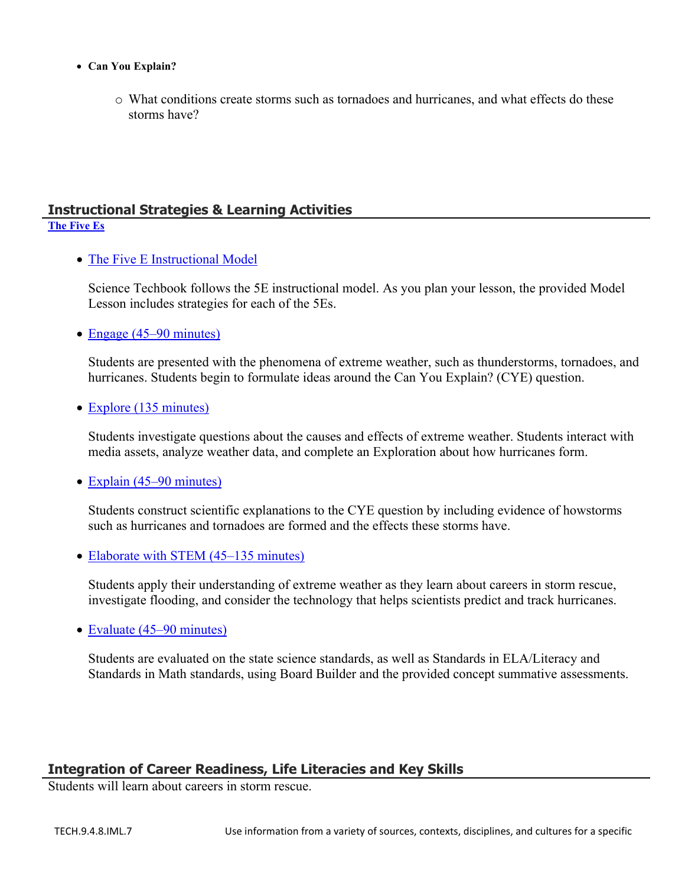- **Can You Explain?**
	- o What conditions create storms such as tornadoes and hurricanes, and what effects do these storms have?

#### **Instructional Strategies & Learning Activities [The Five Es](https://app.discoveryeducation.com/learn/techbook/units/2fa811d9-aafb-44e5-be32-68c440cbb155/concepts/adaf3c0f-d80d-4a54-9b99-1c19b26dc763/lesson/sections/9d34786f-7458-4667-b965-adb4775dcd62)**

• [The Five E Instructional Model](https://app.discoveryeducation.com/learn/techbook/units/2fa811d9-aafb-44e5-be32-68c440cbb155/concepts/adaf3c0f-d80d-4a54-9b99-1c19b26dc763/lesson/sections/9d34786f-7458-4667-b965-adb4775dcd62#cffefbc1-3ff4-4e79-8b3c-e5ef30c7712f)

Science Techbook follows the 5E instructional model. As you plan your lesson, the provided Model Lesson includes strategies for each of the 5Es.

• [Engage \(45–90 minutes\)](https://app.discoveryeducation.com/learn/techbook/units/2fa811d9-aafb-44e5-be32-68c440cbb155/concepts/adaf3c0f-d80d-4a54-9b99-1c19b26dc763/lesson/sections/9d34786f-7458-4667-b965-adb4775dcd62#b3412d18-2323-432e-a83b-1eb8d9e5cfdd)

Students are presented with the phenomena of extreme weather, such as thunderstorms, tornadoes, and hurricanes. Students begin to formulate ideas around the Can You Explain? (CYE) question.

• [Explore \(135 minutes\)](https://app.discoveryeducation.com/learn/techbook/units/2fa811d9-aafb-44e5-be32-68c440cbb155/concepts/adaf3c0f-d80d-4a54-9b99-1c19b26dc763/lesson/sections/9d34786f-7458-4667-b965-adb4775dcd62#3d628e9a-d569-46bb-a859-66af27d6ad60)

Students investigate questions about the causes and effects of extreme weather. Students interact with media assets, analyze weather data, and complete an Exploration about how hurricanes form.

• [Explain \(45–90 minutes\)](https://app.discoveryeducation.com/learn/techbook/units/2fa811d9-aafb-44e5-be32-68c440cbb155/concepts/adaf3c0f-d80d-4a54-9b99-1c19b26dc763/lesson/sections/9d34786f-7458-4667-b965-adb4775dcd62#d0e5091c-5239-426d-8bff-2ef98edfe9ae)

Students construct scientific explanations to the CYE question by including evidence of howstorms such as hurricanes and tornadoes are formed and the effects these storms have.

• [Elaborate with STEM \(45–135 minutes\)](https://app.discoveryeducation.com/learn/techbook/units/2fa811d9-aafb-44e5-be32-68c440cbb155/concepts/adaf3c0f-d80d-4a54-9b99-1c19b26dc763/lesson/sections/9d34786f-7458-4667-b965-adb4775dcd62#e2de34cb-4783-418e-a179-5c25a88bd416)

Students apply their understanding of extreme weather as they learn about careers in storm rescue, investigate flooding, and consider the technology that helps scientists predict and track hurricanes.

• [Evaluate \(45–90 minutes\)](https://app.discoveryeducation.com/learn/techbook/units/2fa811d9-aafb-44e5-be32-68c440cbb155/concepts/adaf3c0f-d80d-4a54-9b99-1c19b26dc763/lesson/sections/9d34786f-7458-4667-b965-adb4775dcd62#8619fb79-7045-447b-97a7-1a19e78b8496)

Students are evaluated on the state science standards, as well as Standards in ELA/Literacy and Standards in Math standards, using Board Builder and the provided concept summative assessments.

# **Integration of Career Readiness, Life Literacies and Key Skills**

Students will learn about careers in storm rescue.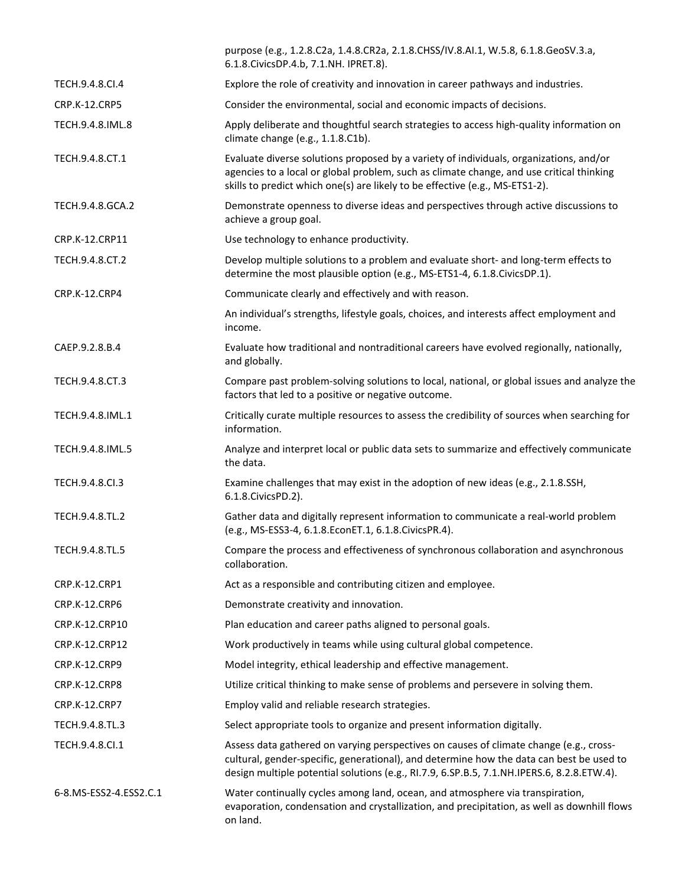|                        | purpose (e.g., 1.2.8.C2a, 1.4.8.CR2a, 2.1.8.CHSS/IV.8.AI.1, W.5.8, 6.1.8.GeoSV.3.a,<br>6.1.8. Civics DP. 4.b, 7.1. NH. IPRET. 8).                                                                                                                                                |
|------------------------|----------------------------------------------------------------------------------------------------------------------------------------------------------------------------------------------------------------------------------------------------------------------------------|
| TECH.9.4.8.CI.4        | Explore the role of creativity and innovation in career pathways and industries.                                                                                                                                                                                                 |
| <b>CRP.K-12.CRP5</b>   | Consider the environmental, social and economic impacts of decisions.                                                                                                                                                                                                            |
| TECH.9.4.8.IML.8       | Apply deliberate and thoughtful search strategies to access high-quality information on<br>climate change (e.g., 1.1.8.C1b).                                                                                                                                                     |
| TECH.9.4.8.CT.1        | Evaluate diverse solutions proposed by a variety of individuals, organizations, and/or<br>agencies to a local or global problem, such as climate change, and use critical thinking<br>skills to predict which one(s) are likely to be effective (e.g., MS-ETS1-2).               |
| TECH.9.4.8.GCA.2       | Demonstrate openness to diverse ideas and perspectives through active discussions to<br>achieve a group goal.                                                                                                                                                                    |
| CRP.K-12.CRP11         | Use technology to enhance productivity.                                                                                                                                                                                                                                          |
| TECH.9.4.8.CT.2        | Develop multiple solutions to a problem and evaluate short- and long-term effects to<br>determine the most plausible option (e.g., MS-ETS1-4, 6.1.8.CivicsDP.1).                                                                                                                 |
| CRP.K-12.CRP4          | Communicate clearly and effectively and with reason.                                                                                                                                                                                                                             |
|                        | An individual's strengths, lifestyle goals, choices, and interests affect employment and<br>income.                                                                                                                                                                              |
| CAEP.9.2.8.B.4         | Evaluate how traditional and nontraditional careers have evolved regionally, nationally,<br>and globally.                                                                                                                                                                        |
| TECH.9.4.8.CT.3        | Compare past problem-solving solutions to local, national, or global issues and analyze the<br>factors that led to a positive or negative outcome.                                                                                                                               |
| TECH.9.4.8.IML.1       | Critically curate multiple resources to assess the credibility of sources when searching for<br>information.                                                                                                                                                                     |
| TECH.9.4.8.IML.5       | Analyze and interpret local or public data sets to summarize and effectively communicate<br>the data.                                                                                                                                                                            |
| TECH.9.4.8.CI.3        | Examine challenges that may exist in the adoption of new ideas (e.g., 2.1.8.SSH,<br>6.1.8. Civics PD. 2).                                                                                                                                                                        |
| TECH.9.4.8.TL.2        | Gather data and digitally represent information to communicate a real-world problem<br>(e.g., MS-ESS3-4, 6.1.8.EconET.1, 6.1.8.CivicsPR.4).                                                                                                                                      |
| TECH.9.4.8.TL.5        | Compare the process and effectiveness of synchronous collaboration and asynchronous<br>collaboration.                                                                                                                                                                            |
| CRP.K-12.CRP1          | Act as a responsible and contributing citizen and employee.                                                                                                                                                                                                                      |
| CRP.K-12.CRP6          | Demonstrate creativity and innovation.                                                                                                                                                                                                                                           |
| CRP.K-12.CRP10         | Plan education and career paths aligned to personal goals.                                                                                                                                                                                                                       |
| CRP.K-12.CRP12         | Work productively in teams while using cultural global competence.                                                                                                                                                                                                               |
| CRP.K-12.CRP9          | Model integrity, ethical leadership and effective management.                                                                                                                                                                                                                    |
| CRP.K-12.CRP8          | Utilize critical thinking to make sense of problems and persevere in solving them.                                                                                                                                                                                               |
| CRP.K-12.CRP7          | Employ valid and reliable research strategies.                                                                                                                                                                                                                                   |
| TECH.9.4.8.TL.3        | Select appropriate tools to organize and present information digitally.                                                                                                                                                                                                          |
| TECH.9.4.8.Cl.1        | Assess data gathered on varying perspectives on causes of climate change (e.g., cross-<br>cultural, gender-specific, generational), and determine how the data can best be used to<br>design multiple potential solutions (e.g., RI.7.9, 6.SP.B.5, 7.1.NH.IPERS.6, 8.2.8.ETW.4). |
| 6-8.MS-ESS2-4.ESS2.C.1 | Water continually cycles among land, ocean, and atmosphere via transpiration,<br>evaporation, condensation and crystallization, and precipitation, as well as downhill flows<br>on land.                                                                                         |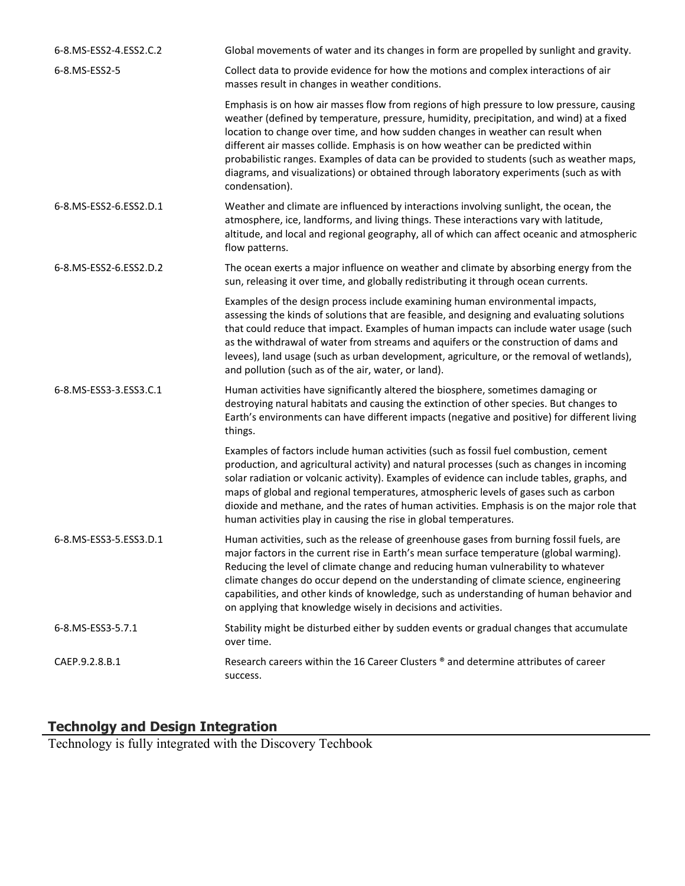| 6-8.MS-ESS2-4.ESS2.C.2 | Global movements of water and its changes in form are propelled by sunlight and gravity.                                                                                                                                                                                                                                                                                                                                                                                                                                                                              |
|------------------------|-----------------------------------------------------------------------------------------------------------------------------------------------------------------------------------------------------------------------------------------------------------------------------------------------------------------------------------------------------------------------------------------------------------------------------------------------------------------------------------------------------------------------------------------------------------------------|
| 6-8.MS-ESS2-5          | Collect data to provide evidence for how the motions and complex interactions of air<br>masses result in changes in weather conditions.                                                                                                                                                                                                                                                                                                                                                                                                                               |
|                        | Emphasis is on how air masses flow from regions of high pressure to low pressure, causing<br>weather (defined by temperature, pressure, humidity, precipitation, and wind) at a fixed<br>location to change over time, and how sudden changes in weather can result when<br>different air masses collide. Emphasis is on how weather can be predicted within<br>probabilistic ranges. Examples of data can be provided to students (such as weather maps,<br>diagrams, and visualizations) or obtained through laboratory experiments (such as with<br>condensation). |
| 6-8.MS-ESS2-6.ESS2.D.1 | Weather and climate are influenced by interactions involving sunlight, the ocean, the<br>atmosphere, ice, landforms, and living things. These interactions vary with latitude,<br>altitude, and local and regional geography, all of which can affect oceanic and atmospheric<br>flow patterns.                                                                                                                                                                                                                                                                       |
| 6-8.MS-ESS2-6.ESS2.D.2 | The ocean exerts a major influence on weather and climate by absorbing energy from the<br>sun, releasing it over time, and globally redistributing it through ocean currents.                                                                                                                                                                                                                                                                                                                                                                                         |
|                        | Examples of the design process include examining human environmental impacts,<br>assessing the kinds of solutions that are feasible, and designing and evaluating solutions<br>that could reduce that impact. Examples of human impacts can include water usage (such<br>as the withdrawal of water from streams and aquifers or the construction of dams and<br>levees), land usage (such as urban development, agriculture, or the removal of wetlands),<br>and pollution (such as of the air, water, or land).                                                     |
| 6-8.MS-ESS3-3.ESS3.C.1 | Human activities have significantly altered the biosphere, sometimes damaging or<br>destroying natural habitats and causing the extinction of other species. But changes to<br>Earth's environments can have different impacts (negative and positive) for different living<br>things.                                                                                                                                                                                                                                                                                |
|                        | Examples of factors include human activities (such as fossil fuel combustion, cement<br>production, and agricultural activity) and natural processes (such as changes in incoming<br>solar radiation or volcanic activity). Examples of evidence can include tables, graphs, and<br>maps of global and regional temperatures, atmospheric levels of gases such as carbon<br>dioxide and methane, and the rates of human activities. Emphasis is on the major role that<br>human activities play in causing the rise in global temperatures.                           |
| 6-8.MS-ESS3-5.ESS3.D.1 | Human activities, such as the release of greenhouse gases from burning fossil fuels, are<br>major factors in the current rise in Earth's mean surface temperature (global warming).<br>Reducing the level of climate change and reducing human vulnerability to whatever<br>climate changes do occur depend on the understanding of climate science, engineering<br>capabilities, and other kinds of knowledge, such as understanding of human behavior and<br>on applying that knowledge wisely in decisions and activities.                                         |
| 6-8.MS-ESS3-5.7.1      | Stability might be disturbed either by sudden events or gradual changes that accumulate<br>over time.                                                                                                                                                                                                                                                                                                                                                                                                                                                                 |
| CAEP.9.2.8.B.1         | Research careers within the 16 Career Clusters ® and determine attributes of career<br>success.                                                                                                                                                                                                                                                                                                                                                                                                                                                                       |

# **Technolgy and Design Integration**

Technology is fully integrated with the Discovery Techbook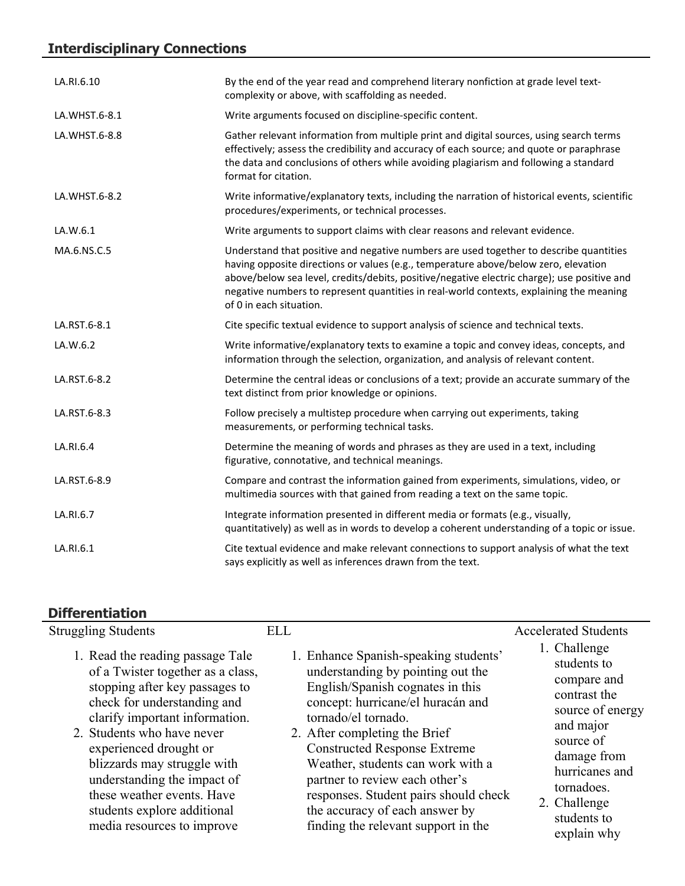# **Interdisciplinary Connections**

| LA.RI.6.10    | By the end of the year read and comprehend literary nonfiction at grade level text-<br>complexity or above, with scaffolding as needed.                                                                                                                                                                                                                                                            |
|---------------|----------------------------------------------------------------------------------------------------------------------------------------------------------------------------------------------------------------------------------------------------------------------------------------------------------------------------------------------------------------------------------------------------|
| LA.WHST.6-8.1 | Write arguments focused on discipline-specific content.                                                                                                                                                                                                                                                                                                                                            |
| LA.WHST.6-8.8 | Gather relevant information from multiple print and digital sources, using search terms<br>effectively; assess the credibility and accuracy of each source; and quote or paraphrase<br>the data and conclusions of others while avoiding plagiarism and following a standard<br>format for citation.                                                                                               |
| LA.WHST.6-8.2 | Write informative/explanatory texts, including the narration of historical events, scientific<br>procedures/experiments, or technical processes.                                                                                                                                                                                                                                                   |
| LA.W.6.1      | Write arguments to support claims with clear reasons and relevant evidence.                                                                                                                                                                                                                                                                                                                        |
| MA.6.NS.C.5   | Understand that positive and negative numbers are used together to describe quantities<br>having opposite directions or values (e.g., temperature above/below zero, elevation<br>above/below sea level, credits/debits, positive/negative electric charge); use positive and<br>negative numbers to represent quantities in real-world contexts, explaining the meaning<br>of 0 in each situation. |
| LA.RST.6-8.1  | Cite specific textual evidence to support analysis of science and technical texts.                                                                                                                                                                                                                                                                                                                 |
| LA.W.6.2      | Write informative/explanatory texts to examine a topic and convey ideas, concepts, and<br>information through the selection, organization, and analysis of relevant content.                                                                                                                                                                                                                       |
| LA.RST.6-8.2  | Determine the central ideas or conclusions of a text; provide an accurate summary of the<br>text distinct from prior knowledge or opinions.                                                                                                                                                                                                                                                        |
| LA.RST.6-8.3  | Follow precisely a multistep procedure when carrying out experiments, taking<br>measurements, or performing technical tasks.                                                                                                                                                                                                                                                                       |
| LA.RI.6.4     | Determine the meaning of words and phrases as they are used in a text, including<br>figurative, connotative, and technical meanings.                                                                                                                                                                                                                                                               |
| LA.RST.6-8.9  | Compare and contrast the information gained from experiments, simulations, video, or<br>multimedia sources with that gained from reading a text on the same topic.                                                                                                                                                                                                                                 |
| LA.RI.6.7     | Integrate information presented in different media or formats (e.g., visually,<br>quantitatively) as well as in words to develop a coherent understanding of a topic or issue.                                                                                                                                                                                                                     |
| LA.RI.6.1     | Cite textual evidence and make relevant connections to support analysis of what the text<br>says explicitly as well as inferences drawn from the text.                                                                                                                                                                                                                                             |

# **Differentiation**

| <b>Struggling Students</b>                                                                                                                                                                                                                                                                                                                                                                | <b>ELL</b>                                                                                                                                                                                                                                                                                                                                                                                                                                  | <b>Accelerated Students</b>                                                                                                                                                                           |
|-------------------------------------------------------------------------------------------------------------------------------------------------------------------------------------------------------------------------------------------------------------------------------------------------------------------------------------------------------------------------------------------|---------------------------------------------------------------------------------------------------------------------------------------------------------------------------------------------------------------------------------------------------------------------------------------------------------------------------------------------------------------------------------------------------------------------------------------------|-------------------------------------------------------------------------------------------------------------------------------------------------------------------------------------------------------|
| 1. Read the reading passage Tale<br>of a Twister together as a class,<br>stopping after key passages to<br>check for understanding and<br>clarify important information.<br>2. Students who have never<br>experienced drought or<br>blizzards may struggle with<br>understanding the impact of<br>these weather events. Have<br>students explore additional<br>media resources to improve | 1. Enhance Spanish-speaking students'<br>understanding by pointing out the<br>English/Spanish cognates in this<br>concept: hurricane/el huracán and<br>tornado/el tornado.<br>2. After completing the Brief<br><b>Constructed Response Extreme</b><br>Weather, students can work with a<br>partner to review each other's<br>responses. Student pairs should check<br>the accuracy of each answer by<br>finding the relevant support in the | 1. Challenge<br>students to<br>compare and<br>contrast the<br>source of energy<br>and major<br>source of<br>damage from<br>hurricanes and<br>tornadoes.<br>2. Challenge<br>students to<br>explain why |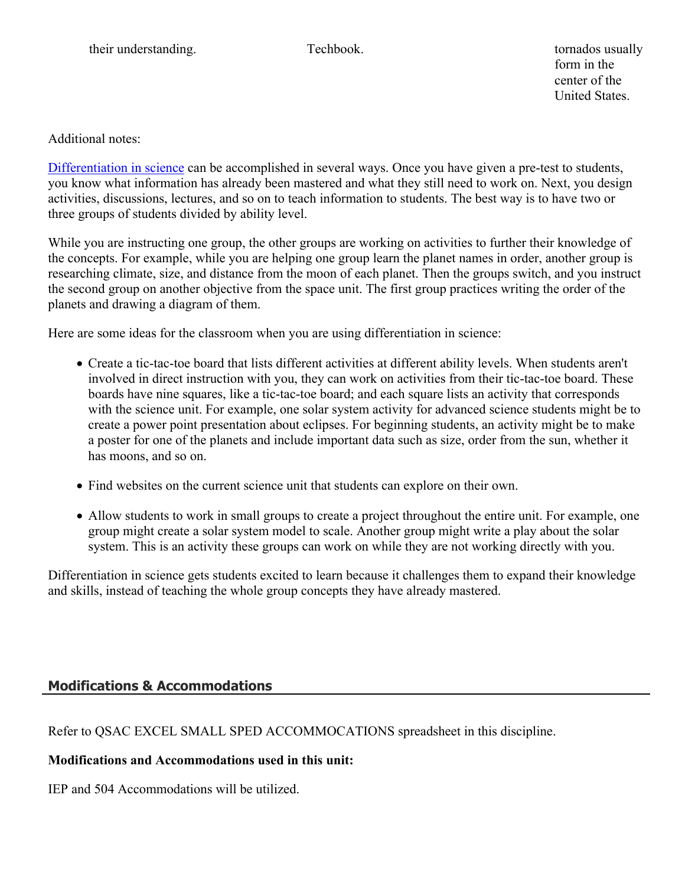form in the center of the United States.

Additional notes:

[Differentiation in science](http://www.brighthubeducation.com/teaching-gifted-students/65181-differentiation-techniques-and-activities-in-the-classroom-for-gifted-students/) can be accomplished in several ways. Once you have given a pre-test to students, you know what information has already been mastered and what they still need to work on. Next, you design activities, discussions, lectures, and so on to teach information to students. The best way is to have two or three groups of students divided by ability level.

While you are instructing one group, the other groups are working on activities to further their knowledge of the concepts. For example, while you are helping one group learn the planet names in order, another group is researching climate, size, and distance from the moon of each planet. Then the groups switch, and you instruct the second group on another objective from the space unit. The first group practices writing the order of the planets and drawing a diagram of them.

Here are some ideas for the classroom when you are using differentiation in science:

- Create a tic-tac-toe board that lists different activities at different ability levels. When students aren't involved in direct instruction with you, they can work on activities from their tic-tac-toe board. These boards have nine squares, like a tic-tac-toe board; and each square lists an activity that corresponds with the science unit. For example, one solar system activity for advanced science students might be to create a power point presentation about eclipses. For beginning students, an activity might be to make a poster for one of the planets and include important data such as size, order from the sun, whether it has moons, and so on.
- Find websites on the current science unit that students can explore on their own.
- Allow students to work in small groups to create a project throughout the entire unit. For example, one group might create a solar system model to scale. Another group might write a play about the solar system. This is an activity these groups can work on while they are not working directly with you.

Differentiation in science gets students excited to learn because it challenges them to expand their knowledge and skills, instead of teaching the whole group concepts they have already mastered.

# **Modifications & Accommodations**

Refer to QSAC EXCEL SMALL SPED ACCOMMOCATIONS spreadsheet in this discipline.

# **Modifications and Accommodations used in this unit:**

IEP and 504 Accommodations will be utilized.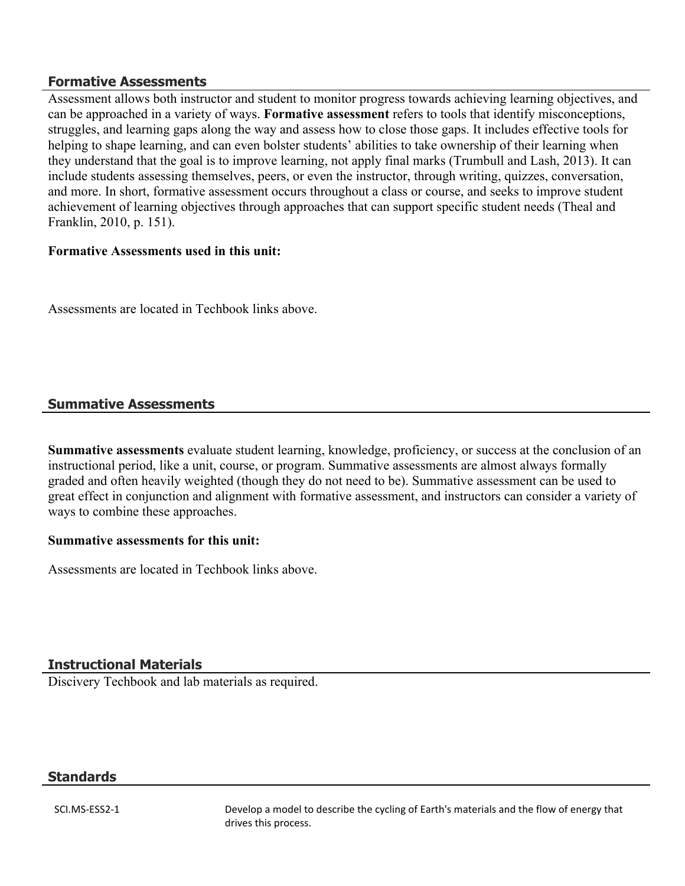#### **Formative Assessments**

Assessment allows both instructor and student to monitor progress towards achieving learning objectives, and can be approached in a variety of ways. **Formative assessment** refers to tools that identify misconceptions, struggles, and learning gaps along the way and assess how to close those gaps. It includes effective tools for helping to shape learning, and can even bolster students' abilities to take ownership of their learning when they understand that the goal is to improve learning, not apply final marks (Trumbull and Lash, 2013). It can include students assessing themselves, peers, or even the instructor, through writing, quizzes, conversation, and more. In short, formative assessment occurs throughout a class or course, and seeks to improve student achievement of learning objectives through approaches that can support specific student needs (Theal and Franklin, 2010, p. 151).

#### **Formative Assessments used in this unit:**

Assessments are located in Techbook links above.

# **Summative Assessments**

**Summative assessments** evaluate student learning, knowledge, proficiency, or success at the conclusion of an instructional period, like a unit, course, or program. Summative assessments are almost always formally graded and often heavily weighted (though they do not need to be). Summative assessment can be used to great effect in conjunction and alignment with formative assessment, and instructors can consider a variety of ways to combine these approaches.

#### **Summative assessments for this unit:**

Assessments are located in Techbook links above.

### **Instructional Materials**

Discivery Techbook and lab materials as required.

### **Standards**

SCI.MS-ESS2-1 Develop a model to describe the cycling of Earth's materials and the flow of energy that drives this process.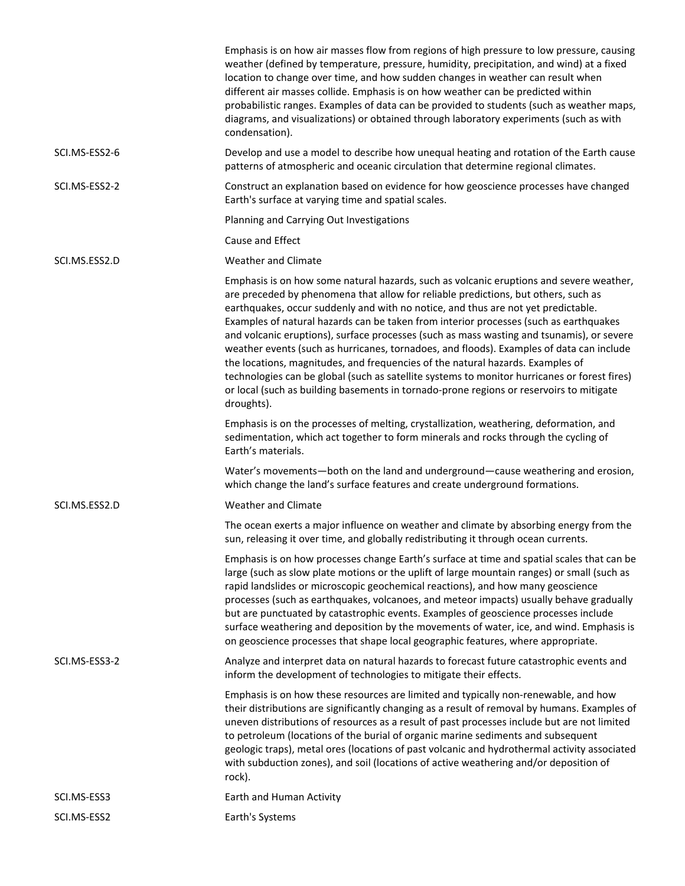|               | Emphasis is on how air masses flow from regions of high pressure to low pressure, causing<br>weather (defined by temperature, pressure, humidity, precipitation, and wind) at a fixed<br>location to change over time, and how sudden changes in weather can result when<br>different air masses collide. Emphasis is on how weather can be predicted within<br>probabilistic ranges. Examples of data can be provided to students (such as weather maps,<br>diagrams, and visualizations) or obtained through laboratory experiments (such as with<br>condensation).                                                                                                                                                                                                                                                                           |
|---------------|-------------------------------------------------------------------------------------------------------------------------------------------------------------------------------------------------------------------------------------------------------------------------------------------------------------------------------------------------------------------------------------------------------------------------------------------------------------------------------------------------------------------------------------------------------------------------------------------------------------------------------------------------------------------------------------------------------------------------------------------------------------------------------------------------------------------------------------------------|
| SCI.MS-ESS2-6 | Develop and use a model to describe how unequal heating and rotation of the Earth cause<br>patterns of atmospheric and oceanic circulation that determine regional climates.                                                                                                                                                                                                                                                                                                                                                                                                                                                                                                                                                                                                                                                                    |
| SCI.MS-ESS2-2 | Construct an explanation based on evidence for how geoscience processes have changed<br>Earth's surface at varying time and spatial scales.                                                                                                                                                                                                                                                                                                                                                                                                                                                                                                                                                                                                                                                                                                     |
|               | Planning and Carrying Out Investigations                                                                                                                                                                                                                                                                                                                                                                                                                                                                                                                                                                                                                                                                                                                                                                                                        |
|               | Cause and Effect                                                                                                                                                                                                                                                                                                                                                                                                                                                                                                                                                                                                                                                                                                                                                                                                                                |
| SCI.MS.ESS2.D | <b>Weather and Climate</b>                                                                                                                                                                                                                                                                                                                                                                                                                                                                                                                                                                                                                                                                                                                                                                                                                      |
|               | Emphasis is on how some natural hazards, such as volcanic eruptions and severe weather,<br>are preceded by phenomena that allow for reliable predictions, but others, such as<br>earthquakes, occur suddenly and with no notice, and thus are not yet predictable.<br>Examples of natural hazards can be taken from interior processes (such as earthquakes<br>and volcanic eruptions), surface processes (such as mass wasting and tsunamis), or severe<br>weather events (such as hurricanes, tornadoes, and floods). Examples of data can include<br>the locations, magnitudes, and frequencies of the natural hazards. Examples of<br>technologies can be global (such as satellite systems to monitor hurricanes or forest fires)<br>or local (such as building basements in tornado-prone regions or reservoirs to mitigate<br>droughts). |
|               | Emphasis is on the processes of melting, crystallization, weathering, deformation, and<br>sedimentation, which act together to form minerals and rocks through the cycling of<br>Earth's materials.                                                                                                                                                                                                                                                                                                                                                                                                                                                                                                                                                                                                                                             |
|               | Water's movements-both on the land and underground-cause weathering and erosion,<br>which change the land's surface features and create underground formations.                                                                                                                                                                                                                                                                                                                                                                                                                                                                                                                                                                                                                                                                                 |
| SCI.MS.ESS2.D | <b>Weather and Climate</b>                                                                                                                                                                                                                                                                                                                                                                                                                                                                                                                                                                                                                                                                                                                                                                                                                      |
|               | The ocean exerts a major influence on weather and climate by absorbing energy from the<br>sun, releasing it over time, and globally redistributing it through ocean currents.                                                                                                                                                                                                                                                                                                                                                                                                                                                                                                                                                                                                                                                                   |
|               | Emphasis is on how processes change Earth's surface at time and spatial scales that can be<br>large (such as slow plate motions or the uplift of large mountain ranges) or small (such as<br>rapid landslides or microscopic geochemical reactions), and how many geoscience<br>processes (such as earthquakes, volcanoes, and meteor impacts) usually behave gradually<br>but are punctuated by catastrophic events. Examples of geoscience processes include<br>surface weathering and deposition by the movements of water, ice, and wind. Emphasis is<br>on geoscience processes that shape local geographic features, where appropriate.                                                                                                                                                                                                   |
| SCI.MS-ESS3-2 | Analyze and interpret data on natural hazards to forecast future catastrophic events and<br>inform the development of technologies to mitigate their effects.                                                                                                                                                                                                                                                                                                                                                                                                                                                                                                                                                                                                                                                                                   |
|               | Emphasis is on how these resources are limited and typically non-renewable, and how<br>their distributions are significantly changing as a result of removal by humans. Examples of<br>uneven distributions of resources as a result of past processes include but are not limited<br>to petroleum (locations of the burial of organic marine sediments and subsequent<br>geologic traps), metal ores (locations of past volcanic and hydrothermal activity associated<br>with subduction zones), and soil (locations of active weathering and/or deposition of<br>rock).                                                                                                                                                                                                                                                                       |
| SCI.MS-ESS3   | Earth and Human Activity                                                                                                                                                                                                                                                                                                                                                                                                                                                                                                                                                                                                                                                                                                                                                                                                                        |
| SCI.MS-ESS2   | Earth's Systems                                                                                                                                                                                                                                                                                                                                                                                                                                                                                                                                                                                                                                                                                                                                                                                                                                 |